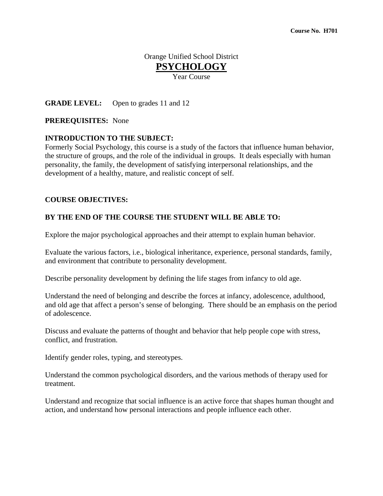# Orange Unified School District **PSYCHOLOGY**

Year Course

### **GRADE LEVEL:** Open to grades 11 and 12

### **PREREQUISITES:** None

#### **INTRODUCTION TO THE SUBJECT:**

Formerly Social Psychology, this course is a study of the factors that influence human behavior, the structure of groups, and the role of the individual in groups. It deals especially with human personality, the family, the development of satisfying interpersonal relationships, and the development of a healthy, mature, and realistic concept of self.

#### **COURSE OBJECTIVES:**

#### **BY THE END OF THE COURSE THE STUDENT WILL BE ABLE TO:**

Explore the major psychological approaches and their attempt to explain human behavior.

Evaluate the various factors, i.e., biological inheritance, experience, personal standards, family, and environment that contribute to personality development.

Describe personality development by defining the life stages from infancy to old age.

Understand the need of belonging and describe the forces at infancy, adolescence, adulthood, and old age that affect a person's sense of belonging. There should be an emphasis on the period of adolescence.

Discuss and evaluate the patterns of thought and behavior that help people cope with stress, conflict, and frustration.

Identify gender roles, typing, and stereotypes.

Understand the common psychological disorders, and the various methods of therapy used for treatment.

Understand and recognize that social influence is an active force that shapes human thought and action, and understand how personal interactions and people influence each other.